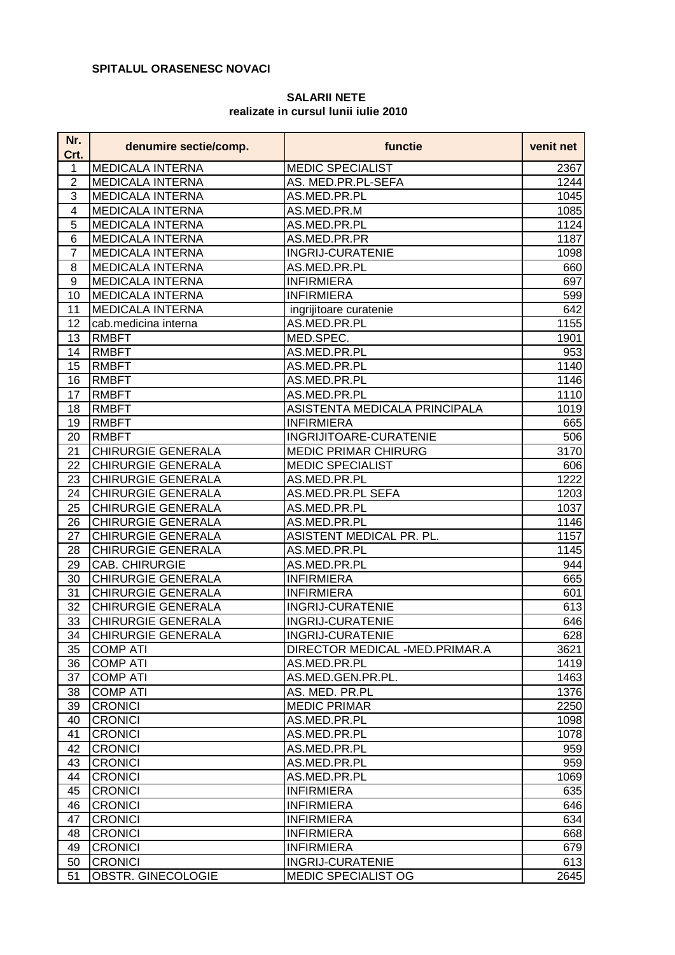## **SPITALUL ORASENESC NOVACI**

## **SALARII NETE realizate in cursul lunii iulie 2010**

| Nr.<br>Crt.    | denumire sectie/comp.     | functie                        | venit net         |
|----------------|---------------------------|--------------------------------|-------------------|
| 1              | <b>MEDICALA INTERNA</b>   | <b>MEDIC SPECIALIST</b>        | 2367              |
| 2              | <b>MEDICALA INTERNA</b>   | AS. MED.PR.PL-SEFA             | 1244              |
| 3              | <b>MEDICALA INTERNA</b>   | AS.MED.PR.PL                   | 1045              |
| 4              | <b>MEDICALA INTERNA</b>   | AS.MED.PR.M                    | 1085              |
| 5              | <b>MEDICALA INTERNA</b>   | AS.MED.PR.PL                   | 1124              |
| 6              | <b>MEDICALA INTERNA</b>   | AS.MED.PR.PR                   | 1187              |
| $\overline{7}$ | MEDICALA INTERNA          | <b>INGRIJ-CURATENIE</b>        | 1098              |
| 8              | MEDICALA INTERNA          | AS.MED.PR.PL                   | 660               |
| 9              | <b>MEDICALA INTERNA</b>   | <b>INFIRMIERA</b>              | 697               |
| 10             | <b>MEDICALA INTERNA</b>   | <b>INFIRMIERA</b>              | 599               |
| 11             | <b>MEDICALA INTERNA</b>   | ingrijitoare curatenie         | 642               |
| 12             | cab.medicina interna      | AS.MED.PR.PL                   | 1155              |
| 13             | <b>RMBFT</b>              | MED.SPEC.                      | 1901              |
| 14             | <b>RMBFT</b>              | AS.MED.PR.PL                   | 953               |
| 15             | <b>RMBFT</b>              | AS.MED.PR.PL                   | 1140              |
| 16             | <b>RMBFT</b>              | AS.MED.PR.PL                   | 1146              |
| 17             | <b>RMBFT</b>              | AS.MED.PR.PL                   | 1110              |
| 18             | <b>RMBFT</b>              | ASISTENTA MEDICALA PRINCIPALA  | 1019              |
| 19             | <b>RMBFT</b>              | <b>INFIRMIERA</b>              | 665               |
| 20             | <b>RMBFT</b>              | INGRIJITOARE-CURATENIE         | 506               |
| 21             | <b>CHIRURGIE GENERALA</b> | <b>MEDIC PRIMAR CHIRURG</b>    | 3170              |
| 22             | <b>CHIRURGIE GENERALA</b> | <b>MEDIC SPECIALIST</b>        | 606               |
| 23             | <b>CHIRURGIE GENERALA</b> | AS.MED.PR.PL                   | 1222              |
| 24             | <b>CHIRURGIE GENERALA</b> | AS.MED.PR.PL SEFA              | 1203              |
| 25             | <b>CHIRURGIE GENERALA</b> | AS.MED.PR.PL                   | 1037              |
| 26             | <b>CHIRURGIE GENERALA</b> | AS.MED.PR.PL                   | 1146              |
| 27             | <b>CHIRURGIE GENERALA</b> | ASISTENT MEDICAL PR. PL.       | $\overline{1157}$ |
| 28             | CHIRURGIE GENERALA        | AS.MED.PR.PL                   | 1145              |
| 29             | CAB. CHIRURGIE            | AS.MED.PR.PL                   | 944               |
| 30             | <b>CHIRURGIE GENERALA</b> | <b>INFIRMIERA</b>              | 665               |
| 31             | <b>CHIRURGIE GENERALA</b> | <b>INFIRMIERA</b>              | 601               |
| 32             | CHIRURGIE GENERALA        | <b>INGRIJ-CURATENIE</b>        | 613               |
| 33             | <b>CHIRURGIE GENERALA</b> | <b>INGRIJ-CURATENIE</b>        | 646               |
| 34             | CHIRURGIE GENERALA        | <b>INGRIJ-CURATENIE</b>        | 628               |
| 35             | <b>COMP ATI</b>           | DIRECTOR MEDICAL -MED.PRIMAR.A | 3621              |
| 36             | <b>COMP ATI</b>           | AS.MED.PR.PL                   | 1419              |
| 37             | <b>COMP ATI</b>           | AS.MED.GEN.PR.PL.              | 1463              |
| 38             | <b>COMP ATI</b>           | AS. MED. PR.PL                 | 1376              |
| 39             | <b>CRONICI</b>            | <b>MEDIC PRIMAR</b>            | 2250              |
| 40             | <b>CRONICI</b>            | AS.MED.PR.PL                   | 1098              |
| 41             | <b>CRONICI</b>            | AS.MED.PR.PL                   | 1078              |
| 42             | <b>CRONICI</b>            | AS.MED.PR.PL                   | 959               |
| 43             | <b>CRONICI</b>            | AS.MED.PR.PL                   | 959               |
| 44             | <b>CRONICI</b>            | AS.MED.PR.PL                   | 1069              |
| 45             | <b>CRONICI</b>            | <b>INFIRMIERA</b>              | 635               |
| 46             | <b>CRONICI</b>            | <b>INFIRMIERA</b>              | 646               |
| 47             | <b>CRONICI</b>            | <b>INFIRMIERA</b>              | 634               |
| 48             | <b>CRONICI</b>            | <b>INFIRMIERA</b>              | 668               |
| 49             | <b>CRONICI</b>            | <b>INFIRMIERA</b>              | 679               |
| 50             | <b>CRONICI</b>            | <b>INGRIJ-CURATENIE</b>        | 613               |
| 51             | OBSTR. GINECOLOGIE        | MEDIC SPECIALIST OG            | 2645              |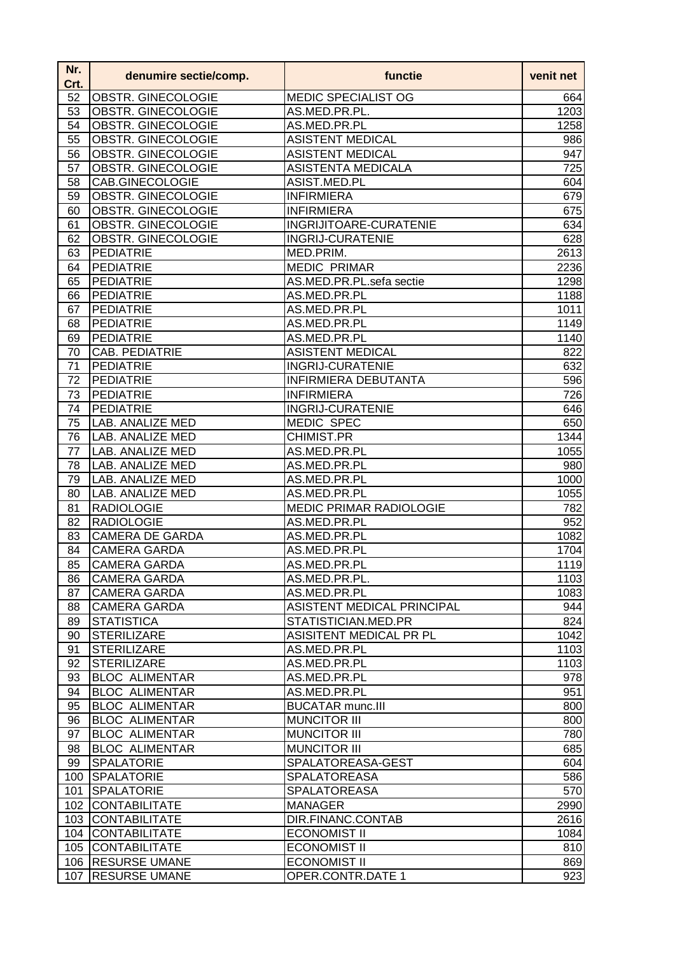| Nr.<br>Crt. | denumire sectie/comp.                       | functie                           | venit net        |
|-------------|---------------------------------------------|-----------------------------------|------------------|
| 52          | OBSTR. GINECOLOGIE                          | <b>MEDIC SPECIALIST OG</b>        | 664              |
| 53          | OBSTR. GINECOLOGIE                          | AS.MED.PR.PL.                     | 1203             |
| 54          | <b>OBSTR. GINECOLOGIE</b>                   | AS.MED.PR.PL                      | 1258             |
| 55          | OBSTR. GINECOLOGIE                          | <b>ASISTENT MEDICAL</b>           | 986              |
| 56          | OBSTR. GINECOLOGIE                          | <b>ASISTENT MEDICAL</b>           | 947              |
| 57          | OBSTR. GINECOLOGIE                          | <b>ASISTENTA MEDICALA</b>         | $\overline{7}25$ |
| 58          | CAB.GINECOLOGIE                             | ASIST.MED.PL                      | 604              |
| 59          | OBSTR. GINECOLOGIE                          | <b>INFIRMIERA</b>                 | 679              |
| 60          | OBSTR. GINECOLOGIE                          | <b>INFIRMIERA</b>                 | 675              |
| 61          | OBSTR. GINECOLOGIE                          | INGRIJITOARE-CURATENIE            | 634              |
| 62          | OBSTR. GINECOLOGIE                          | <b>INGRIJ-CURATENIE</b>           | 628              |
| 63          | <b>PEDIATRIE</b>                            | MED.PRIM.                         | 2613             |
| 64          | <b>PEDIATRIE</b>                            | <b>MEDIC PRIMAR</b>               | 2236             |
| 65          | <b>PEDIATRIE</b>                            | AS.MED.PR.PL.sefa sectie          | 1298             |
| 66          | <b>PEDIATRIE</b>                            | AS.MED.PR.PL                      | 1188             |
| 67          | <b>PEDIATRIE</b>                            | AS.MED.PR.PL                      | 1011             |
| 68          | <b>PEDIATRIE</b>                            | AS.MED.PR.PL                      | 1149             |
| 69          | <b>PEDIATRIE</b>                            | AS.MED.PR.PL                      | 1140             |
| 70          | CAB. PEDIATRIE                              | <b>ASISTENT MEDICAL</b>           | 822              |
| 71          | <b>PEDIATRIE</b>                            | <b>INGRIJ-CURATENIE</b>           | 632              |
| 72          | <b>PEDIATRIE</b>                            | <b>INFIRMIERA DEBUTANTA</b>       | 596              |
| 73          | <b>PEDIATRIE</b>                            | <b>INFIRMIERA</b>                 | 726              |
| 74          | <b>PEDIATRIE</b>                            | <b>INGRIJ-CURATENIE</b>           | 646              |
| 75          | LAB. ANALIZE MED                            | <b>MEDIC SPEC</b>                 | 650              |
| 76          | LAB. ANALIZE MED                            | <b>CHIMIST.PR</b>                 | 1344             |
| 77          | LAB. ANALIZE MED                            | AS.MED.PR.PL                      | 1055             |
| 78          | LAB. ANALIZE MED                            | AS.MED.PR.PL                      | 980              |
| 79          | <b>LAB. ANALIZE MED</b>                     | AS.MED.PR.PL                      | 1000             |
| 80          | <b>LAB. ANALIZE MED</b>                     | AS.MED.PR.PL                      | 1055             |
| 81          | <b>RADIOLOGIE</b>                           | <b>MEDIC PRIMAR RADIOLOGIE</b>    | 782              |
| 82          | <b>RADIOLOGIE</b>                           | AS.MED.PR.PL                      | 952              |
| 83          | <b>CAMERA DE GARDA</b>                      | AS.MED.PR.PL                      | 1082             |
| 84          | <b>CAMERA GARDA</b>                         | AS.MED.PR.PL                      | 1704             |
| 85          | <b>CAMERA GARDA</b>                         | AS.MED.PR.PL                      | 1119             |
| 86          | <b>CAMERA GARDA</b>                         | AS.MED.PR.PL.                     | 1103             |
| 87          | <b>CAMERA GARDA</b>                         | AS.MED.PR.PL                      | 1083             |
| 88          | <b>CAMERA GARDA</b>                         | <b>ASISTENT MEDICAL PRINCIPAL</b> | 944              |
| 89          | <b>STATISTICA</b>                           | STATISTICIAN.MED.PR               | 824              |
| 90          | <b>STERILIZARE</b>                          | ASISITENT MEDICAL PR PL           | 1042             |
| 91          | <b>STERILIZARE</b>                          | AS.MED.PR.PL<br>AS.MED.PR.PL      | 1103<br>1103     |
| 92          | <b>STERILIZARE</b><br><b>BLOC ALIMENTAR</b> | AS.MED.PR.PL                      |                  |
| 93<br>94    | <b>BLOC ALIMENTAR</b>                       | AS.MED.PR.PL                      | 978<br>951       |
| 95          | <b>BLOC ALIMENTAR</b>                       | <b>BUCATAR munc.III</b>           | 800              |
| 96          | <b>BLOC ALIMENTAR</b>                       | <b>MUNCITOR III</b>               | 800              |
| 97          | <b>BLOC ALIMENTAR</b>                       | <b>MUNCITOR III</b>               | 780              |
| 98          | <b>BLOC ALIMENTAR</b>                       | <b>MUNCITOR III</b>               | 685              |
| 99          | <b>SPALATORIE</b>                           | SPALATOREASA-GEST                 | 604              |
| 100         | <b>SPALATORIE</b>                           | <b>SPALATOREASA</b>               | 586              |
| 101         | <b>SPALATORIE</b>                           | <b>SPALATOREASA</b>               | 570              |
| 102         | <b>CONTABILITATE</b>                        | <b>MANAGER</b>                    | 2990             |
| 103         | <b>CONTABILITATE</b>                        | DIR.FINANC.CONTAB                 | 2616             |
| 104         | <b>CONTABILITATE</b>                        | <b>ECONOMIST II</b>               | 1084             |
| 105         | <b>CONTABILITATE</b>                        | <b>ECONOMIST II</b>               | 810              |
| 106         | <b>RESURSE UMANE</b>                        | <b>ECONOMIST II</b>               | 869              |
| 107         | <b>RESURSE UMANE</b>                        | OPER.CONTR.DATE 1                 | 923              |
|             |                                             |                                   |                  |